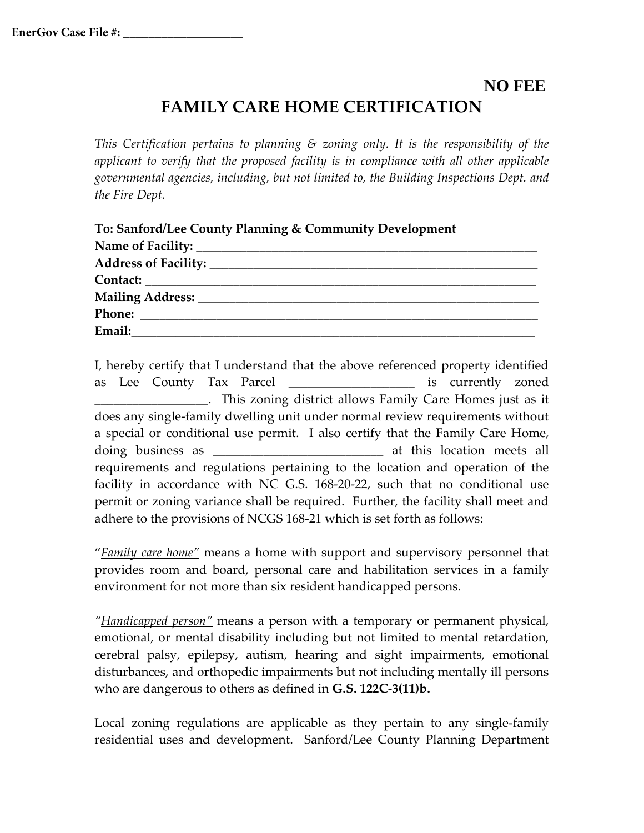## **NO FEE FAMILY CARE HOME CERTIFICATION**

*This Certification pertains to planning & zoning only. It is the responsibility of the applicant to verify that the proposed facility is in compliance with all other applicable governmental agencies, including, but not limited to, the Building Inspections Dept. and the Fire Dept.*

I, hereby certify that I understand that the above referenced property identified as Lee County Tax Parcel **\_\_\_\_\_\_\_\_\_\_\_\_\_\_\_\_\_\_\_\_** is currently zoned **\_\_\_\_\_\_\_\_\_\_\_\_\_\_\_\_\_\_**. This zoning district allows Family Care Homes just as it does any single-family dwelling unit under normal review requirements without a special or conditional use permit. I also certify that the Family Care Home, doing business as **\_\_\_\_\_\_\_\_\_\_\_\_\_\_\_\_\_\_\_\_\_\_\_\_\_\_\_** at this location meets all requirements and regulations pertaining to the location and operation of the facility in accordance with NC G.S. 168-20-22, such that no conditional use permit or zoning variance shall be required. Further, the facility shall meet and adhere to the provisions of NCGS 168-21 which is set forth as follows:

"*Family care home"* means a home with support and supervisory personnel that provides room and board, personal care and habilitation services in a family environment for not more than six resident handicapped persons.

*"Handicapped person"* means a person with a temporary or permanent physical, emotional, or mental disability including but not limited to mental retardation, cerebral palsy, epilepsy, autism, hearing and sight impairments, emotional disturbances, and orthopedic impairments but not including mentally ill persons who are dangerous to others as defined in **G.S. 122C-3(11)b.**

Local zoning regulations are applicable as they pertain to any single-family residential uses and development. Sanford/Lee County Planning Department